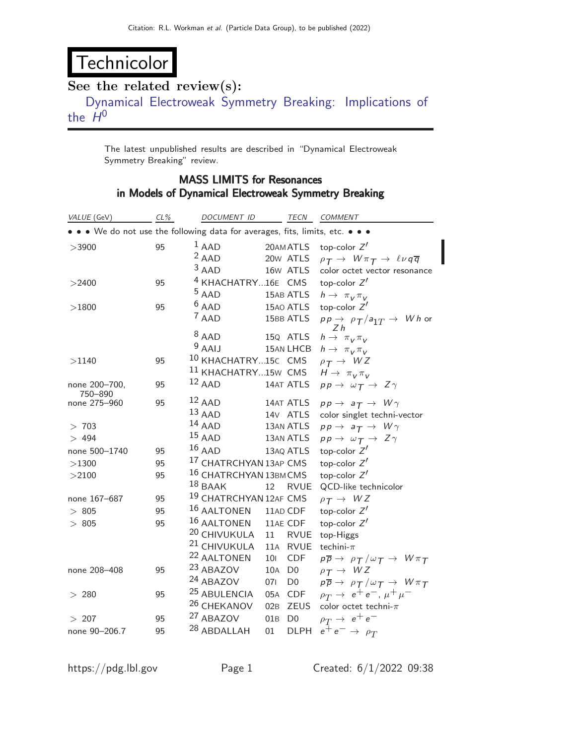## Technicolor

## See the related review(s):

[Dynamical Electroweak Symmetry Breaking: Implications of](http://pdg.lbl.gov/2022/reviews/rpp2021-rev-technicolor.pdf) [the](http://pdg.lbl.gov/2022/reviews/rpp2021-rev-technicolor.pdf)  $H^0$ 

The latest unpublished results are described in "Dynamical Electroweak Symmetry Breaking" review.

## MASS LIMITS for Resonances in Models of Dynamical Electroweak Symmetry Breaking

| VALUE (GeV)                                                                   | $CL\%$ | DOCUMENT ID                       |     | TECN           | <b>COMMENT</b>                                                                              |
|-------------------------------------------------------------------------------|--------|-----------------------------------|-----|----------------|---------------------------------------------------------------------------------------------|
| • • • We do not use the following data for averages, fits, limits, etc. • • • |        |                                   |     |                |                                                                                             |
| >3900                                                                         | 95     | $1$ AAD                           |     | 20AM ATLS      | top-color $Z'$                                                                              |
|                                                                               |        | $2$ AAD                           |     | 20w ATLS       | $\rho_T \rightarrow W \pi_T \rightarrow \ell \nu q \overline{q}$                            |
|                                                                               |        | $3$ AAD                           |     | 16w ATLS       | color octet vector resonance                                                                |
| >2400                                                                         | 95     | <sup>4</sup> KHACHATRY16E CMS     |     |                | top-color $Z'$                                                                              |
|                                                                               |        | $5$ AAD                           |     | 15AB ATLS      | $h \rightarrow \pi_V \pi_V$                                                                 |
| >1800                                                                         | 95     | $6$ AAD                           |     | 15AO ATLS      | top-color $Z'$                                                                              |
|                                                                               |        | $7$ AAD                           |     | 15BB ATLS      | $pp \rightarrow$ $\rho_T/a_{1T} \rightarrow Wh$ or<br>Ζh                                    |
|                                                                               |        | $8$ AAD                           |     | 15Q ATLS       | $h \rightarrow \pi_V \pi_V$                                                                 |
|                                                                               |        | $9$ AAIJ                          |     | 15AN LHCB      | $h \rightarrow \pi_V \pi_V$                                                                 |
| >1140                                                                         | 95     | <sup>10</sup> KHACHATRY15C CMS    |     |                | $\rho_T \rightarrow WZ$                                                                     |
|                                                                               |        | <sup>11</sup> KHACHATRY15W CMS    |     |                | $H \rightarrow \pi_V \pi_V$                                                                 |
| none 200-700,<br>750-890                                                      | 95     | $12$ AAD                          |     | 14AT ATLS      | $pp \rightarrow \omega_T \rightarrow Z \gamma$                                              |
| none 275-960                                                                  | 95     | $12$ AAD                          |     | 14AT ATLS      | $pp \rightarrow a_{\mathcal{T}} \rightarrow W \gamma$                                       |
|                                                                               |        | $13$ AAD                          |     | 14V ATLS       | color singlet techni-vector                                                                 |
| > 703                                                                         |        | $14$ AAD                          |     | 13AN ATLS      | $pp \rightarrow a_T \rightarrow W \gamma$                                                   |
| > 494                                                                         |        | $15$ AAD                          |     | 13AN ATLS      | $pp \rightarrow \omega_T \rightarrow Z \gamma$                                              |
| none 500-1740                                                                 | 95     | $16$ AAD                          |     | 13AQ ATLS      | top-color $Z'$                                                                              |
| >1300                                                                         | 95     | <sup>17</sup> CHATRCHYAN 13AP CMS |     |                | top-color $Z'$                                                                              |
| >2100                                                                         | 95     | 16 CHATRCHYAN 13BM CMS            |     |                | top-color $Z'$                                                                              |
|                                                                               |        | $18$ BAAK                         | 12  | <b>RVUE</b>    | QCD-like technicolor                                                                        |
| none 167-687                                                                  | 95     | 19 CHATRCHYAN 12AF CMS            |     |                | $\rho_T \rightarrow WZ$                                                                     |
| >805                                                                          | 95     | 16 AALTONEN                       |     | 11AD CDF       | top-color $Z'$                                                                              |
| >805                                                                          | 95     | 16 AALTONEN                       |     | 11AE CDF       | top-color $Z'$                                                                              |
|                                                                               |        | <sup>20</sup> CHIVUKULA           | 11  | RVUE           | top-Higgs                                                                                   |
|                                                                               |        | <sup>21</sup> CHIVUKULA           |     | 11A RVUE       | techini- $\pi$                                                                              |
|                                                                               |        | <sup>22</sup> AALTONEN            | 101 | <b>CDF</b>     | $p\overline{p} \rightarrow p\overline{T}/\omega \overline{T} \rightarrow W\pi \overline{T}$ |
| none 208-408                                                                  | 95     | 23 ABAZOV                         | 10A | D <sub>0</sub> | $\rho_T \rightarrow WZ$                                                                     |
|                                                                               |        | <sup>24</sup> ABAZOV              | 071 | D <sub>0</sub> | $p\overline{p} \rightarrow p\overline{T}/\omega \overline{T} \rightarrow W\pi \overline{T}$ |
| > 280                                                                         | 95     | <sup>25</sup> ABULENCIA           |     | 05A CDF        | $\rho_T \to e^+e^-, \mu^+\mu^-$                                                             |
|                                                                               |        | <sup>26</sup> CHEKANOV            | 02B | <b>ZEUS</b>    | color octet techni- $\pi$                                                                   |
| >207                                                                          | 95     | 27 ABAZOV                         | 01B | D <sub>0</sub> | $\rho_T \rightarrow e^+e^-$                                                                 |
| none 90-206.7                                                                 | 95     | <sup>28</sup> ABDALLAH            | 01  | <b>DLPH</b>    | $e^+e^- \rightarrow \rho_T$                                                                 |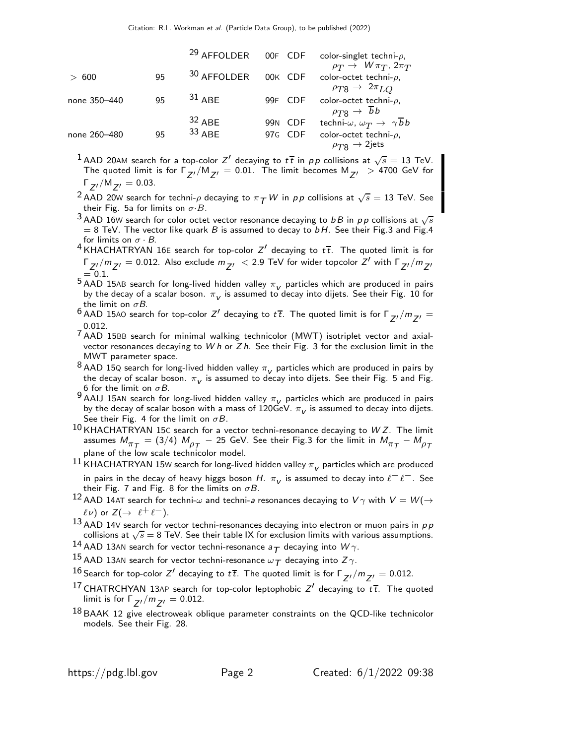|              |    | <sup>29</sup> AFFOLDER | 00F CDF           | color-singlet techni- $\rho$ ,                                                                          |
|--------------|----|------------------------|-------------------|---------------------------------------------------------------------------------------------------------|
| > 600        | 95 | 30 AFFOLDER            | 00K CDF           | $\rho_T \rightarrow W \pi_T$ , $2\pi_T$<br>color-octet techni- $\rho$ ,                                 |
| none 350-440 | 95 | $31$ ABF               | 99F CDF           | $\rho_{T8} \rightarrow 2\pi_{LO}$<br>color-octet techni- $\rho$ ,                                       |
|              |    | $32$ ABE               | <b>CDF</b><br>99N | $\rho_{T8} \rightarrow \overline{b}b$<br>techni- $\omega$ , $\omega_T \rightarrow \gamma \overline{b}b$ |
| none 260-480 | 95 | $33$ ABF               | CDF<br>97G        | color-octet techni- $\rho$ ,<br>$\rho_{T8} \rightarrow 2$ jets                                          |

 $^1$  AAD 20AM search for a top-color  $Z'$  decaying to  $t\,\overline{t}$  in  $p\,p$  collisions at  $\sqrt{s}=13$  TeV. The quoted limit is for  $\Gamma_{ZI}/M_{ZI} = 0.01$ . The limit becomes  $M_{ZI} > 4700$  GeV for  $\Gamma_{Z'}/M_{Z'} = 0.03$ .

<sup>2</sup> AAD 20W search for techni-<sub>P</sub> decaying to  $\pi$   $\pi$  W in pp collisions at  $\sqrt{s} = 13$  TeV. See their Fig. 5a for limits on  $\sigma$ ·B.

 $^3$  AAD 16W search for color octet vector resonance decaying to  $b$  B in  $p$  p collisions at  $\sqrt{s}$  $= 8$  TeV. The vector like quark B is assumed to decay to bH. See their Fig.3 and Fig.4 for limits on  $\sigma \cdot B$ .

- $^4$ KHACHATRYAN 16E search for top-color Z' decaying to  $t\bar{t}$ . The quoted limit is for Γ $Z'_{2,1}$ / $m_{Z'}$  = 0.012. Also exclude  $m_{Z'}$   $<$  2.9 TeV for wider topcolor  $Z'$  with Γ $_{Z'}/m_{Z'}$  $= 0.1$ .
- <sup>5</sup> AAD 15AB search for long-lived hidden valley  $\pi_V$  particles which are produced in pairs by the decay of a scalar boson.  $\pi_{\mathsf{v}}$  is assumed to decay into dijets. See their Fig. 10 for the limit on  $\sigma B$ .
- <sup>6</sup> AAD 15AO search for top-color  $Z'$  decaying to  $t\bar{t}$ . The quoted limit is for  $\Gamma_{Z'}/m_{Z'} =$ 0.012.
- $7$  AAD 15BB search for minimal walking technicolor (MWT) isotriplet vector and axialvector resonances decaying to W h or  $Zh$ . See their Fig. 3 for the exclusion limit in the MWT parameter space.
- 8 AAD 15Q search for long-lived hidden valley  $\pi_V$  particles which are produced in pairs by the decay of scalar boson.  $\pi_{\mathsf{V}}$  is assumed to decay into dijets. See their Fig. 5 and Fig. 6 for the limit on  $\sigma B$ .
- 9 AAIJ 15AN search for long-lived hidden valley  $\pi_V$  particles which are produced in pairs by the decay of scalar boson with a mass of  $120 \text{GeV}$ .  $\pi_V$  is assumed to decay into dijets. See their Fig. 4 for the limit on  $\sigma B$ .
- $10$  KHACHATRYAN 15C search for a vector techni-resonance decaying to WZ. The limit assumes  $M_{\pi^-_T}=(3/4)$   $M_{\rho^-_T}-$  25 GeV. See their Fig.3 for the limit in  $M_{\pi^-_T}-M_{\rho^-_T}$ plane of the low scale technicolor model.
- $^{11}$  KHACHATRYAN 15W search for long-lived hidden valley  $\pi_{_{\bm{V}}}$  particles which are produced in pairs in the decay of heavy higgs boson H.  $\pi_V$  is assumed to decay into  $\ell^+ \ell^-$ . See their Fig. 7 and Fig. 8 for the limits on  $\sigma B$ .
- 12 AAD 14AT search for techni- $\omega$  and techni-a resonances decaying to  $V\gamma$  with  $V = W(\rightarrow 12$  $\ell \nu$ ) or  $Z(\rightarrow \ell^+ \ell^-)$ .
- $13$  AAD 14V search for vector techni-resonances decaying into electron or muon pairs in  $p \, p$ collisions at  $\sqrt{s} = 8$  TeV. See their table IX for exclusion limits with various assumptions.
- <sup>14</sup> AAD 13AN search for vector techni-resonance  $a_T$  decaying into  $W\gamma$ .
- $^{15}$  AAD 13AN search for vector techni-resonance  $\omega_\mathcal{T}$  decaying into  $Z\gamma$ .
- $^{16}$  Search for top-color  $Z'$  decaying to  $t\overline{t}$ . The quoted limit is for Γ $_{Z'}/m_{Z'}=0.012$ .
- <sup>17</sup> CHATRCHYAN 13AP search for top-color leptophobic  $Z'$  decaying to  $t\bar{t}$ . The quoted limit is for  $\Gamma_{Z'}/m_{Z'} = 0.012$ .
- <sup>18</sup> BAAK 12 give electroweak oblique parameter constraints on the QCD-like technicolor models. See their Fig. 28.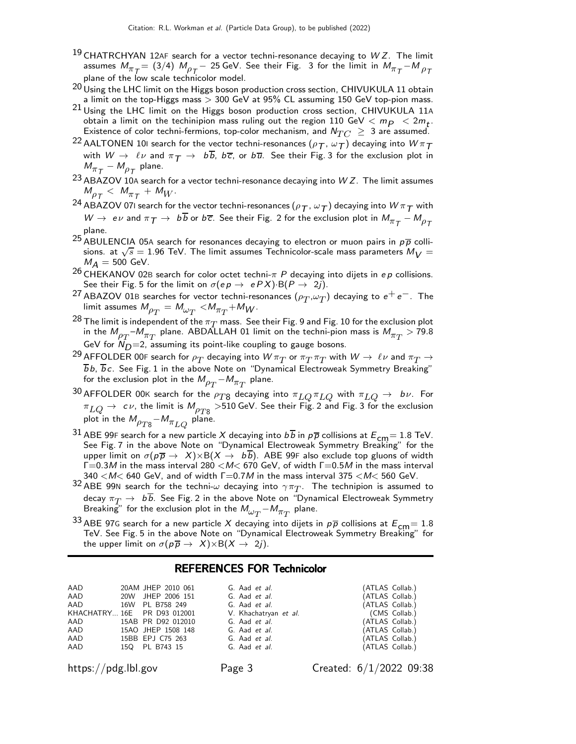- <sup>19</sup> CHATRCHYAN 12AF search for a vector techni-resonance decaying to  $WZ$ . The limit assumes  $M_{\pi}^{~} = (3/4)$   $M_{\rho}^{~} -$  25 GeV. See their Fig.  $\,$  3 for the limit in  $M_{\pi}^{~} M_{\rho}^{~}$ plane of the low scale technicolor model.
- $^{20}$  Using the LHC limit on the Higgs boson production cross section, CHIVUKULA 11 obtain a limit on the top-Higgs mass > 300 GeV at 95% CL assuming 150 GeV top-pion mass.
- 21 Using the LHC limit on the Higgs boson production cross section, CHIVUKULA 11<sup>A</sup> obtain a limit on the techinipion mass ruling out the region  $110 \text{ GeV} < m_P < 2m_t$ . Existence of color techni-fermions, top-color mechanism, and  $N_{TC} \geq 3$  are assumed.
- <sup>22</sup> AALTONEN 10I search for the vector techni-resonances ( $\rho_T$ ,  $\omega_T$ ) decaying into  $W\pi_T$ with  $W \to \ell \nu$  and  $\pi T \to b\overline{b}$ ,  $b\overline{c}$ , or  $b\overline{u}$ . See their Fig. 3 for the exclusion plot in  $M_{\pi_{\mathcal{T}}} - M_{\rho_{\mathcal{T}}}$  plane.
- <sup>23</sup> ABAZOV 10A search for a vector techni-resonance decaying into  $WZ$ . The limit assumes  $M_{\rho_T} < M_{\pi_T} + M_W$ .
- $^{24}$  ABAZOV 071 search for the vector techni-resonances  $(\rho_{\bm{\mathcal{T}}} , \omega_{\bm{\mathcal{T}}})$  decaying into  $W\pi_{\bm{\mathcal{T}}}$  with  $W\to~e\nu$  and  $\pi_{\textit{T}}\to~b\,b$  or  $b\overline{c}.$  See their Fig. 2 for the exclusion plot in  $M_{\pi_{\textit{T}}}-M_{\rho_{\textit{T}}}$ plane.
- 25 ABULENCIA 05A search for resonances decaying to electron or muon pairs in  $p\overline{p}$  collisions. at  $\sqrt{s} = 1.96$  TeV. The limit assumes Technicolor-scale mass parameters  $M_V =$  $M_A = 500$  GeV.
- <sup>26</sup> CHEKANOV 02B search for color octet techni- $\pi$  P decaying into dijets in ep collisions. See their Fig. 5 for the limit on  $\sigma(ep \rightarrow ePX) \cdot B(P \rightarrow 2j)$ .
- <sup>27</sup> ABAZOV 01B searches for vector techni-resonances  $(\rho_T, \omega_T)$  decaying to  $e^+e^-$ . The limit assumes  $M_{\rho_T^{} }^{} = M_{\omega_T^{} }^{} < \! M_{\pi_T^{} \! }^{} + M_{W}^{} .$
- <sup>28</sup> The limit is independent of the  $\pi_T$  mass. See their Fig. 9 and Fig. 10 for the exclusion plot in the  $M_{\rho_T}$ – $M_{\pi_T}$  plane. ABDALLAH 01 limit on the techni-pion mass is  $M_{\pi_T} >$  79.8 GeV for  $\overline{N}_D=2$ , assuming its point-like coupling to gauge bosons.
- <sup>29</sup> AFFOLDER 00<sup>F</sup> search for ρT decaying into W πT or πT πT with W → ℓ ν and πT →  $\overline{b}b$ ,  $\overline{b}c$ . See Fig. 1 in the above Note on "Dynamical Electroweak Symmetry Breaking" for the exclusion plot in the  $M_{\rho_T^{} - M_{\pi_T^{} }}$  plane.
- 30 AFFOLDER 00K search for the  $\rho_{T8}$  decaying into  $\pi_{LQ} \pi_{LQ}$  with  $\pi_{LQ} \to b \nu$ . For  $\pi_{LQ} \rightarrow c \nu$ , the limit is  $M_{\rho_{T8}} >$  510 GeV. See their Fig. 2 and Fig. 3 for the exclusion plot in the  $M_{\rho_{T8}}$  –  $M_{\pi_{LQ}}$  plane.
- 31 ABE 99F search for a new particle X decaying into  $b\overline{b}$  in  $p\overline{p}$  collisions at  $E_{cm}$  = 1.8 TeV. See Fig. 7 in the above Note on "Dynamical Electroweak Symmetry Breaking" for the upper limit on  $\sigma(p\overline{p} \to X) \times B(X \to b\overline{b})$ . ABE 99F also exclude top gluons of width  $\Gamma$ =0.3M in the mass interval 280 < M <670 GeV, of width  $\Gamma$ =0.5M in the mass interval  $340 < M < 640$  GeV, and of width  $\Gamma = 0.7M$  in the mass interval 375  $< M < 560$  GeV.
- $^{32}$  ABE 99N search for the techni- $\omega$  decaying into  $\gamma \pi_T$ . The technipion is assumed to decay  $\pi_T \to~b\overline{b}$ . See Fig. 2 in the above Note on "Dynamical Electroweak Symmetry Breaking" for the exclusion plot in the  $M_{\omega_T}$   $-M_{\pi_T}$  plane.
- <sup>33</sup> ABE 97G search for a new particle X decaying into dijets in  $p\overline{p}$  collisions at  $E_{cm}= 1.8$ TeV. See Fig. 5 in the above Note on "Dynamical Electroweak Symmetry Breaking" for the upper limit on  $\sigma(p\overline{p} \rightarrow X) \times B(X \rightarrow 2j)$ .

## REFERENCES FOR Technicolor

| AAD | 20AM JHEP 2010 061          | G. Aad et al.         | (ATLAS Collab.) |               |
|-----|-----------------------------|-----------------------|-----------------|---------------|
| AAD | 20W JHEP 2006 151           | G. Aad <i>et al.</i>  | (ATLAS Collab.) |               |
| AAD | 16W PL B758 249             | G. Aad <i>et al.</i>  | (ATLAS Collab.) |               |
|     | KHACHATRY 16E PR D93 012001 | V. Khachatryan et al. |                 | (CMS Collab.) |
| AAD | 15AB PR D92 012010          | G. Aad <i>et al.</i>  | (ATLAS Collab.) |               |
| AAD | 15AO JHEP 1508 148          | G. Aad et al.         | (ATLAS Collab.) |               |
| AAD | 15BB EPJ C75 263            | G. Aad <i>et al.</i>  | (ATLAS Collab.) |               |
| AAD | 150 PL B743 15              | G. Aad et al.         | (ATLAS Collab.) |               |

https://pdg.lbl.gov Page 3 Created: 6/1/2022 09:38